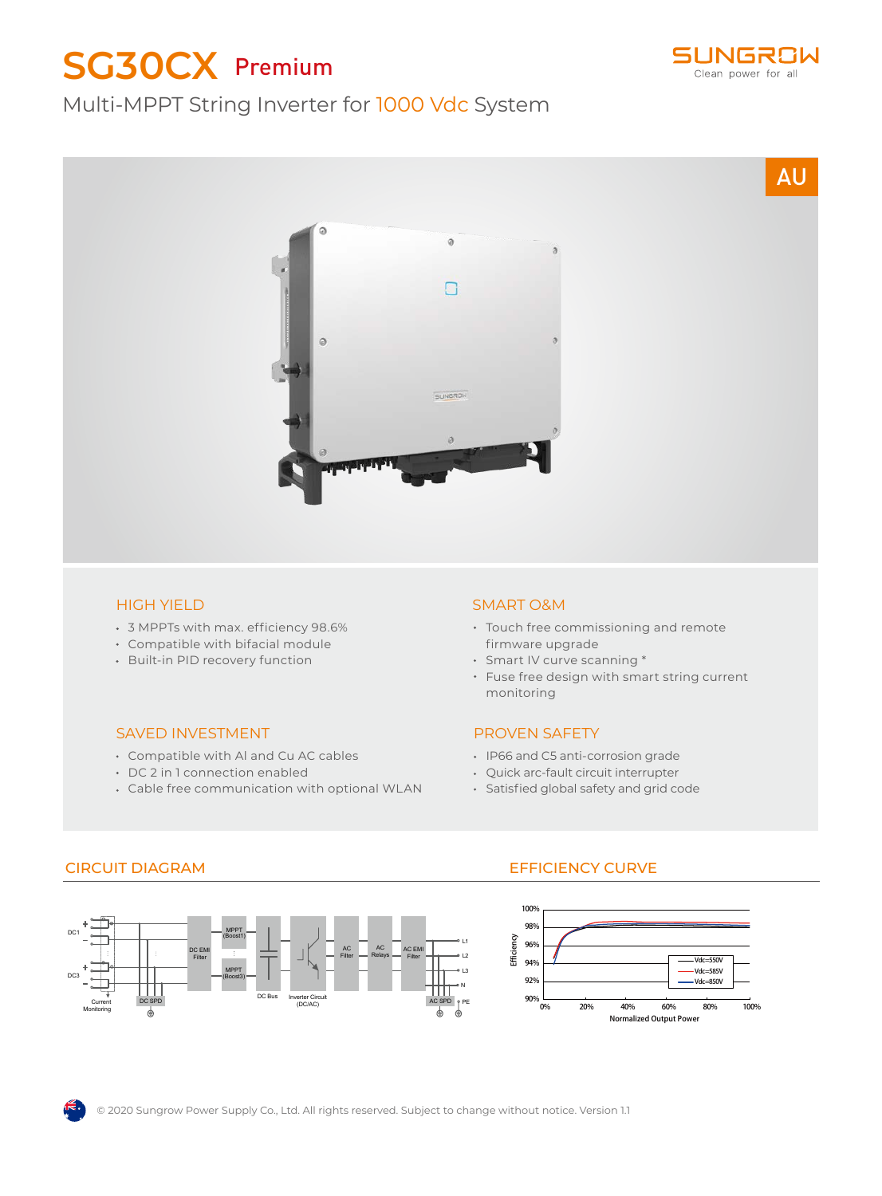# **SG30CX** Premium



## Multi-MPPT String Inverter for 1000 Vdc System



#### HIGH YIELD

- 3 MPPTs with max. efficiency 98.6%
- Compatible with bifacial module
- Built-in PID recovery function

#### SAVED INVESTMENT

- Compatible with Al and Cu AC cables
- DC 2 in 1 connection enabled
- Cable free communication with optional WLAN

#### SMART O&M

- Touch free commissioning and remote firmware upgrade
- Smart IV curve scanning \*
- Fuse free design with smart string current monitoring

#### PROVEN SAFETY

- IP66 and C5 anti-corrosion grade
- Quick arc-fault circuit interrupter
- Satisfied global safety and grid code



### CIRCUIT DIAGRAM EFFICIENCY CURVE